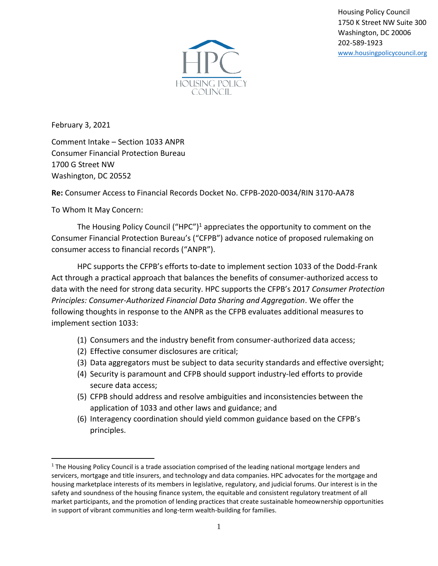Housing Policy Council 1750 K Street NW Suite 300 Washington, DC 20006 202-589-1923 [www.housingpolicycouncil.org](http://www.housingpolicycouncil.org/)



February 3, 2021

Comment Intake – Section 1033 ANPR Consumer Financial Protection Bureau 1700 G Street NW Washington, DC 20552

**Re:** Consumer Access to Financial Records Docket No. CFPB-2020-0034/RIN 3170-AA78

To Whom It May Concern:

The Housing Policy Council ("HPC")<sup>1</sup> appreciates the opportunity to comment on the Consumer Financial Protection Bureau's ("CFPB") advance notice of proposed rulemaking on consumer access to financial records ("ANPR").

HPC supports the CFPB's efforts to-date to implement section 1033 of the Dodd-Frank Act through a practical approach that balances the benefits of consumer-authorized access to data with the need for strong data security. HPC supports the CFPB's 2017 *Consumer Protection Principles: Consumer-Authorized Financial Data Sharing and Aggregation*. We offer the following thoughts in response to the ANPR as the CFPB evaluates additional measures to implement section 1033:

- (1) Consumers and the industry benefit from consumer-authorized data access;
- (2) Effective consumer disclosures are critical;
- (3) Data aggregators must be subject to data security standards and effective oversight;
- (4) Security is paramount and CFPB should support industry-led efforts to provide secure data access;
- (5) CFPB should address and resolve ambiguities and inconsistencies between the application of 1033 and other laws and guidance; and
- (6) Interagency coordination should yield common guidance based on the CFPB's principles.

<sup>&</sup>lt;sup>1</sup> The Housing Policy Council is a trade association comprised of the leading national mortgage lenders and servicers, mortgage and title insurers, and technology and data companies. HPC advocates for the mortgage and housing marketplace interests of its members in legislative, regulatory, and judicial forums. Our interest is in the safety and soundness of the housing finance system, the equitable and consistent regulatory treatment of all market participants, and the promotion of lending practices that create sustainable homeownership opportunities in support of vibrant communities and long-term wealth-building for families.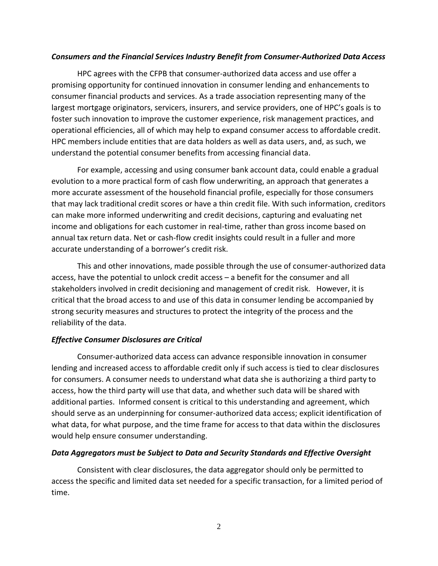## *Consumers and the Financial Services Industry Benefit from Consumer-Authorized Data Access*

HPC agrees with the CFPB that consumer-authorized data access and use offer a promising opportunity for continued innovation in consumer lending and enhancements to consumer financial products and services. As a trade association representing many of the largest mortgage originators, servicers, insurers, and service providers, one of HPC's goals is to foster such innovation to improve the customer experience, risk management practices, and operational efficiencies, all of which may help to expand consumer access to affordable credit. HPC members include entities that are data holders as well as data users, and, as such, we understand the potential consumer benefits from accessing financial data.

For example, accessing and using consumer bank account data, could enable a gradual evolution to a more practical form of cash flow underwriting, an approach that generates a more accurate assessment of the household financial profile, especially for those consumers that may lack traditional credit scores or have a thin credit file. With such information, creditors can make more informed underwriting and credit decisions, capturing and evaluating net income and obligations for each customer in real-time, rather than gross income based on annual tax return data. Net or cash-flow credit insights could result in a fuller and more accurate understanding of a borrower's credit risk.

This and other innovations, made possible through the use of consumer-authorized data access, have the potential to unlock credit access – a benefit for the consumer and all stakeholders involved in credit decisioning and management of credit risk. However, it is critical that the broad access to and use of this data in consumer lending be accompanied by strong security measures and structures to protect the integrity of the process and the reliability of the data.

## *Effective Consumer Disclosures are Critical*

Consumer-authorized data access can advance responsible innovation in consumer lending and increased access to affordable credit only if such access is tied to clear disclosures for consumers. A consumer needs to understand what data she is authorizing a third party to access, how the third party will use that data, and whether such data will be shared with additional parties. Informed consent is critical to this understanding and agreement, which should serve as an underpinning for consumer-authorized data access; explicit identification of what data, for what purpose, and the time frame for access to that data within the disclosures would help ensure consumer understanding.

## *Data Aggregators must be Subject to Data and Security Standards and Effective Oversight*

Consistent with clear disclosures, the data aggregator should only be permitted to access the specific and limited data set needed for a specific transaction, for a limited period of time.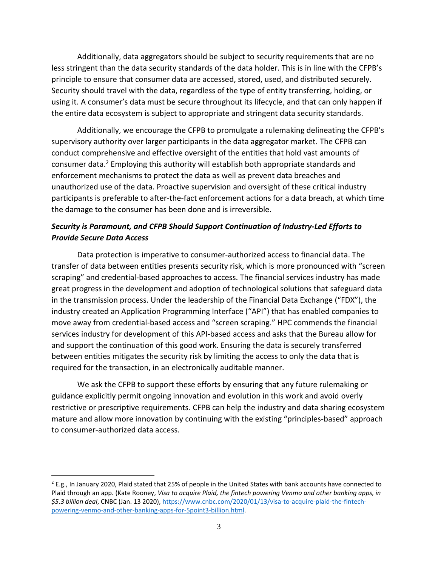Additionally, data aggregators should be subject to security requirements that are no less stringent than the data security standards of the data holder. This is in line with the CFPB's principle to ensure that consumer data are accessed, stored, used, and distributed securely. Security should travel with the data, regardless of the type of entity transferring, holding, or using it. A consumer's data must be secure throughout its lifecycle, and that can only happen if the entire data ecosystem is subject to appropriate and stringent data security standards.

Additionally, we encourage the CFPB to promulgate a rulemaking delineating the CFPB's supervisory authority over larger participants in the data aggregator market. The CFPB can conduct comprehensive and effective oversight of the entities that hold vast amounts of consumer data.<sup>2</sup> Employing this authority will establish both appropriate standards and enforcement mechanisms to protect the data as well as prevent data breaches and unauthorized use of the data. Proactive supervision and oversight of these critical industry participants is preferable to after-the-fact enforcement actions for a data breach, at which time the damage to the consumer has been done and is irreversible.

# *Security is Paramount, and CFPB Should Support Continuation of Industry-Led Efforts to Provide Secure Data Access*

Data protection is imperative to consumer-authorized access to financial data. The transfer of data between entities presents security risk, which is more pronounced with "screen scraping" and credential-based approaches to access. The financial services industry has made great progress in the development and adoption of technological solutions that safeguard data in the transmission process. Under the leadership of the Financial Data Exchange ("FDX"), the industry created an Application Programming Interface ("API") that has enabled companies to move away from credential-based access and "screen scraping." HPC commends the financial services industry for development of this API-based access and asks that the Bureau allow for and support the continuation of this good work. Ensuring the data is securely transferred between entities mitigates the security risk by limiting the access to only the data that is required for the transaction, in an electronically auditable manner.

We ask the CFPB to support these efforts by ensuring that any future rulemaking or guidance explicitly permit ongoing innovation and evolution in this work and avoid overly restrictive or prescriptive requirements. CFPB can help the industry and data sharing ecosystem mature and allow more innovation by continuing with the existing "principles-based" approach to consumer-authorized data access.

 $2$  E.g., In January 2020, Plaid stated that 25% of people in the United States with bank accounts have connected to Plaid through an app. (Kate Rooney, *Visa to acquire Plaid, the fintech powering Venmo and other banking apps, in \$5.3 billion deal*, CNBC (Jan. 13 2020), [https://www.cnbc.com/2020/01/13/visa-to-acquire-plaid-the-fintech](https://www.cnbc.com/2020/01/13/visa-to-acquire-plaid-the-fintech-powering-venmo-and-other-banking-apps-for-5point3-billion.html)[powering-venmo-and-other-banking-apps-for-5point3-billion.html.](https://www.cnbc.com/2020/01/13/visa-to-acquire-plaid-the-fintech-powering-venmo-and-other-banking-apps-for-5point3-billion.html)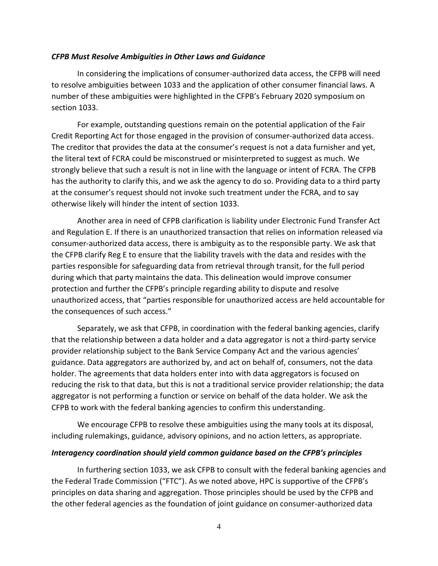### *CFPB Must Resolve Ambiguities in Other Laws and Guidance*

In considering the implications of consumer-authorized data access, the CFPB will need to resolve ambiguities between 1033 and the application of other consumer financial laws. A number of these ambiguities were highlighted in the CFPB's February 2020 symposium on section 1033.

For example, outstanding questions remain on the potential application of the Fair Credit Reporting Act for those engaged in the provision of consumer-authorized data access. The creditor that provides the data at the consumer's request is not a data furnisher and yet, the literal text of FCRA could be misconstrued or misinterpreted to suggest as much. We strongly believe that such a result is not in line with the language or intent of FCRA. The CFPB has the authority to clarify this, and we ask the agency to do so. Providing data to a third party at the consumer's request should not invoke such treatment under the FCRA, and to say otherwise likely will hinder the intent of section 1033.

Another area in need of CFPB clarification is liability under Electronic Fund Transfer Act and Regulation E. If there is an unauthorized transaction that relies on information released via consumer-authorized data access, there is ambiguity as to the responsible party. We ask that the CFPB clarify Reg E to ensure that the liability travels with the data and resides with the parties responsible for safeguarding data from retrieval through transit, for the full period during which that party maintains the data. This delineation would improve consumer protection and further the CFPB's principle regarding ability to dispute and resolve unauthorized access, that "parties responsible for unauthorized access are held accountable for the consequences of such access."

Separately, we ask that CFPB, in coordination with the federal banking agencies, clarify that the relationship between a data holder and a data aggregator is not a third-party service provider relationship subject to the Bank Service Company Act and the various agencies' guidance. Data aggregators are authorized by, and act on behalf of, consumers, not the data holder. The agreements that data holders enter into with data aggregators is focused on reducing the risk to that data, but this is not a traditional service provider relationship; the data aggregator is not performing a function or service on behalf of the data holder. We ask the CFPB to work with the federal banking agencies to confirm this understanding.

We encourage CFPB to resolve these ambiguities using the many tools at its disposal, including rulemakings, guidance, advisory opinions, and no action letters, as appropriate.

### *Interagency coordination should yield common guidance based on the CFPB's principles*

In furthering section 1033, we ask CFPB to consult with the federal banking agencies and the Federal Trade Commission ("FTC"). As we noted above, HPC is supportive of the CFPB's principles on data sharing and aggregation. Those principles should be used by the CFPB and the other federal agencies as the foundation of joint guidance on consumer-authorized data